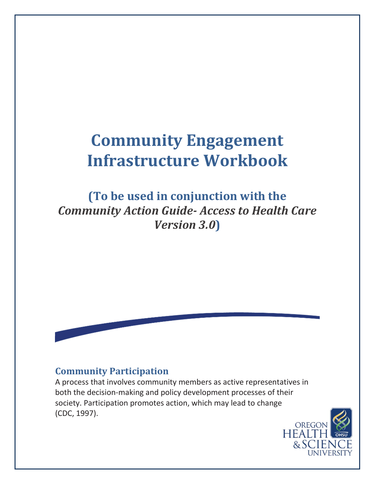# **Community Engagement Infrastructure Workbook**

**(To be used in conjunction with the**  *Community Action Guide- Access to Health Care Version 3.0***)**

## **Community Participation**

A process that involves community members as active representatives in both the decision-making and policy development processes of their society. Participation promotes action, which may lead to change (CDC, 1997).

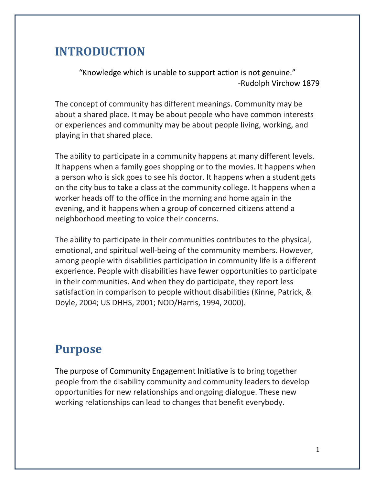# **INTRODUCTION**

"Knowledge which is unable to support action is not genuine." -Rudolph Virchow 1879

The concept of community has different meanings. Community may be about a shared place. It may be about people who have common interests or experiences and community may be about people living, working, and playing in that shared place.

The ability to participate in a community happens at many different levels. It happens when a family goes shopping or to the movies. It happens when a person who is sick goes to see his doctor. It happens when a student gets on the city bus to take a class at the community college. It happens when a worker heads off to the office in the morning and home again in the evening, and it happens when a group of concerned citizens attend a neighborhood meeting to voice their concerns.

The ability to participate in their communities contributes to the physical, emotional, and spiritual well-being of the community members. However, among people with disabilities participation in community life is a different experience. People with disabilities have fewer opportunities to participate in their communities. And when they do participate, they report less satisfaction in comparison to people without disabilities (Kinne, Patrick, & Doyle, 2004; US DHHS, 2001; NOD/Harris, 1994, 2000).

# **Purpose**

The purpose of Community Engagement Initiative is to bring together people from the disability community and community leaders to develop opportunities for new relationships and ongoing dialogue. These new working relationships can lead to changes that benefit everybody.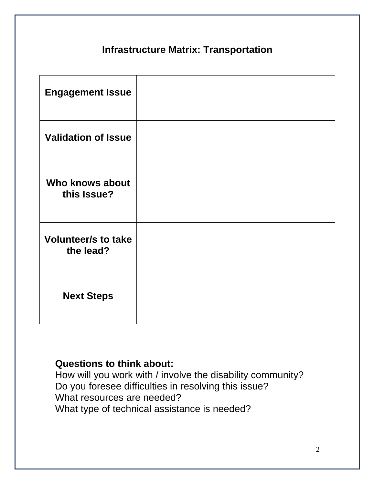# **Infrastructure Matrix: Transportation**

| <b>Engagement Issue</b>                 |  |
|-----------------------------------------|--|
| <b>Validation of Issue</b>              |  |
| Who knows about<br>this Issue?          |  |
| <b>Volunteer/s to take</b><br>the lead? |  |
| <b>Next Steps</b>                       |  |

### **Questions to think about:**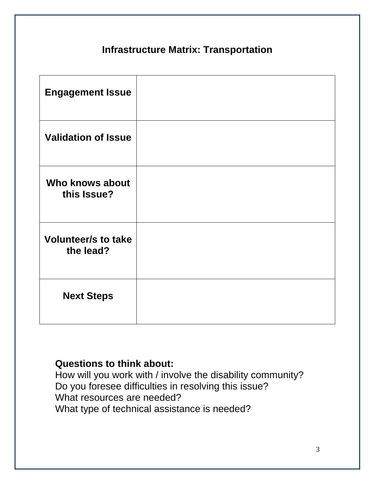# **Infrastructure Matrix: Transportation**

| <b>Engagement Issue</b>                 |  |
|-----------------------------------------|--|
| <b>Validation of Issue</b>              |  |
| Who knows about<br>this Issue?          |  |
| <b>Volunteer/s to take</b><br>the lead? |  |
| <b>Next Steps</b>                       |  |

### **Questions to think about:**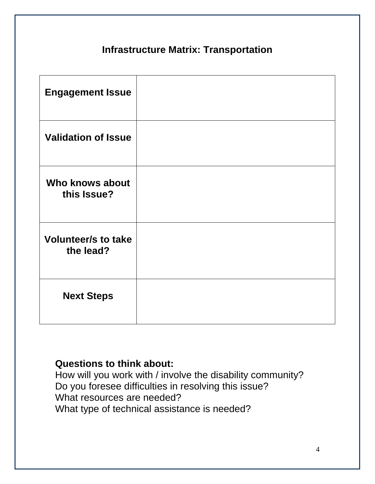# **Infrastructure Matrix: Transportation**

| <b>Engagement Issue</b>                 |  |
|-----------------------------------------|--|
| <b>Validation of Issue</b>              |  |
| Who knows about<br>this Issue?          |  |
| <b>Volunteer/s to take</b><br>the lead? |  |
| <b>Next Steps</b>                       |  |

### **Questions to think about:**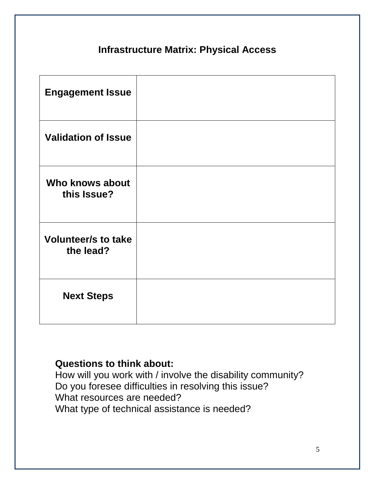# **Infrastructure Matrix: Physical Access**

| <b>Engagement Issue</b>                 |  |
|-----------------------------------------|--|
| <b>Validation of Issue</b>              |  |
| <b>Who knows about</b><br>this Issue?   |  |
| <b>Volunteer/s to take</b><br>the lead? |  |
| <b>Next Steps</b>                       |  |

### **Questions to think about:**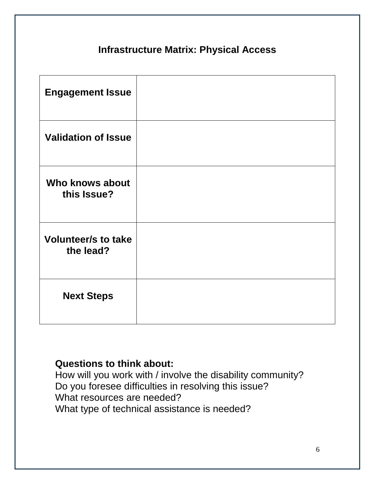# **Infrastructure Matrix: Physical Access**

| <b>Engagement Issue</b>                 |  |
|-----------------------------------------|--|
| <b>Validation of Issue</b>              |  |
| <b>Who knows about</b><br>this Issue?   |  |
| <b>Volunteer/s to take</b><br>the lead? |  |
| <b>Next Steps</b>                       |  |

### **Questions to think about:**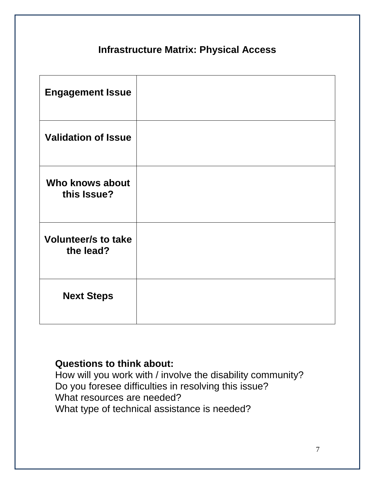# **Infrastructure Matrix: Physical Access**

| <b>Engagement Issue</b>                 |  |
|-----------------------------------------|--|
| <b>Validation of Issue</b>              |  |
| Who knows about<br>this Issue?          |  |
| <b>Volunteer/s to take</b><br>the lead? |  |
| <b>Next Steps</b>                       |  |

### **Questions to think about:**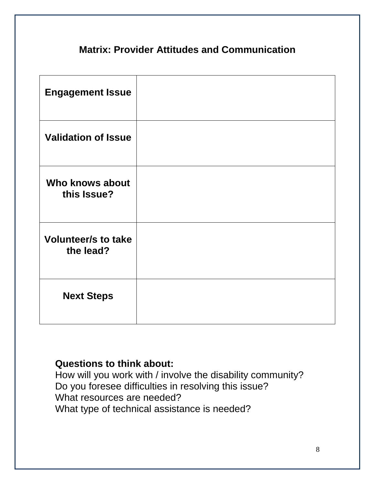# **Matrix: Provider Attitudes and Communication**

| <b>Engagement Issue</b>                 |  |
|-----------------------------------------|--|
| <b>Validation of Issue</b>              |  |
| <b>Who knows about</b><br>this Issue?   |  |
| <b>Volunteer/s to take</b><br>the lead? |  |
| <b>Next Steps</b>                       |  |

### **Questions to think about:**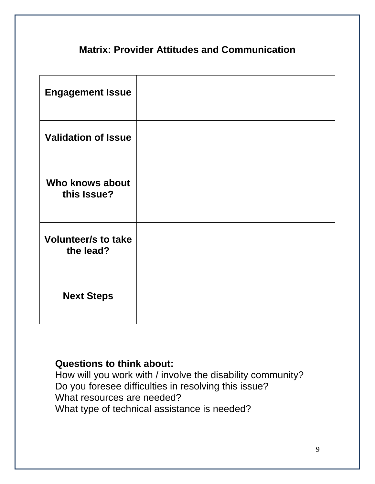# **Matrix: Provider Attitudes and Communication**

| <b>Engagement Issue</b>                 |  |
|-----------------------------------------|--|
| <b>Validation of Issue</b>              |  |
| Who knows about<br>this Issue?          |  |
| <b>Volunteer/s to take</b><br>the lead? |  |
| <b>Next Steps</b>                       |  |

### **Questions to think about:**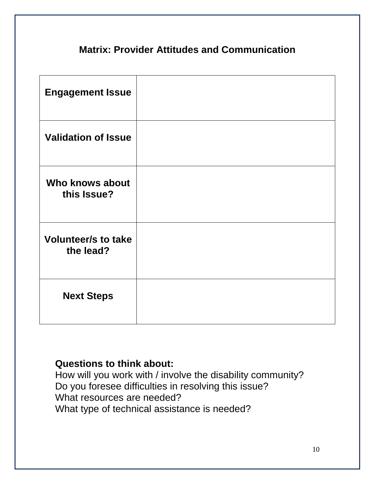# **Matrix: Provider Attitudes and Communication**

| <b>Engagement Issue</b>                 |  |
|-----------------------------------------|--|
| <b>Validation of Issue</b>              |  |
| Who knows about<br>this Issue?          |  |
| <b>Volunteer/s to take</b><br>the lead? |  |
| <b>Next Steps</b>                       |  |

### **Questions to think about:**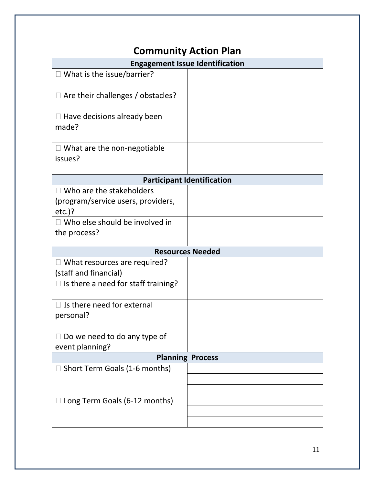# **Community Action Plan**

| <b>Engagement Issue Identification</b>     |  |  |
|--------------------------------------------|--|--|
|                                            |  |  |
|                                            |  |  |
|                                            |  |  |
|                                            |  |  |
| <b>Participant Identification</b>          |  |  |
|                                            |  |  |
|                                            |  |  |
| <b>Resources Needed</b>                    |  |  |
|                                            |  |  |
|                                            |  |  |
|                                            |  |  |
|                                            |  |  |
| event planning?<br><b>Planning Process</b> |  |  |
|                                            |  |  |
|                                            |  |  |
|                                            |  |  |
|                                            |  |  |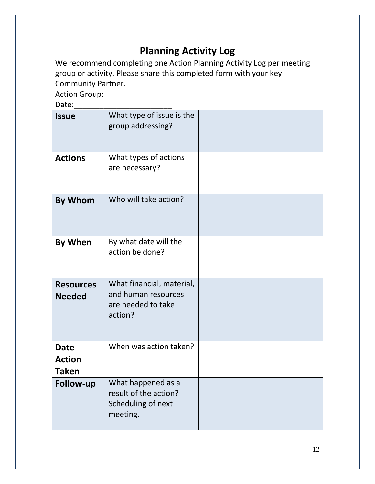# **Planning Activity Log**

We recommend completing one Action Planning Activity Log per meeting group or activity. Please share this completed form with your key Community Partner.

Action Group:

 $Data:$ 

| Ducc.                                        |                                                                                   |  |
|----------------------------------------------|-----------------------------------------------------------------------------------|--|
| <b>Issue</b>                                 | What type of issue is the<br>group addressing?                                    |  |
| <b>Actions</b>                               | What types of actions<br>are necessary?                                           |  |
| By Whom                                      | Who will take action?                                                             |  |
| <b>By When</b>                               | By what date will the<br>action be done?                                          |  |
| <b>Resources</b><br><b>Needed</b>            | What financial, material,<br>and human resources<br>are needed to take<br>action? |  |
| <b>Date</b><br><b>Action</b><br><b>Taken</b> | When was action taken?                                                            |  |
| <b>Follow-up</b>                             | What happened as a<br>result of the action?<br>Scheduling of next<br>meeting.     |  |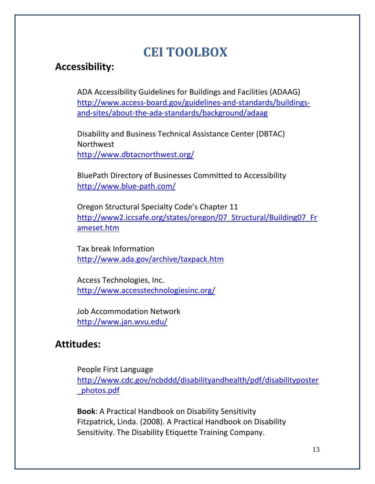# **CEI TOOLBOX**

## **Accessibility:**

ADA Accessibility Guidelines for Buildings and Facilities (ADAAG) [http://www.access-board.gov/guidelines-and-standards/buildings](http://www.access-board.gov/guidelines-and-standards/buildings-and-sites/about-the-ada-standards/background/adaag)[and-sites/about-the-ada-standards/background/adaag](http://www.access-board.gov/guidelines-and-standards/buildings-and-sites/about-the-ada-standards/background/adaag)

Disability and Business Technical Assistance Center (DBTAC) Northwest <http://www.dbtacnorthwest.org/>

BluePath Directory of Businesses Committed to Accessibility <http://www.blue-path.com/>

Oregon Structural Specialty Code's Chapter 11 [http://www2.iccsafe.org/states/oregon/07\\_Structural/Building07\\_Fr](http://www2.iccsafe.org/states/oregon/07_Structural/Building07_Frameset.htm) [ameset.htm](http://www2.iccsafe.org/states/oregon/07_Structural/Building07_Frameset.htm)

Tax break Information <http://www.ada.gov/archive/taxpack.htm>

Access Technologies, Inc. <http://www.accesstechnologiesinc.org/>

Job Accommodation Network <http://www.jan.wvu.edu/>

### **Attitudes:**

People First Language [http://www.cdc.gov/ncbddd/disabilityandhealth/pdf/disabilityposter](http://www.cdc.gov/ncbddd/disabilityandhealth/pdf/disabilityposter_photos.pdf) [\\_photos.pdf](http://www.cdc.gov/ncbddd/disabilityandhealth/pdf/disabilityposter_photos.pdf)

**Book**: A Practical Handbook on Disability Sensitivity Fitzpatrick, Linda. (2008). A Practical Handbook on Disability Sensitivity. The Disability Etiquette Training Company.